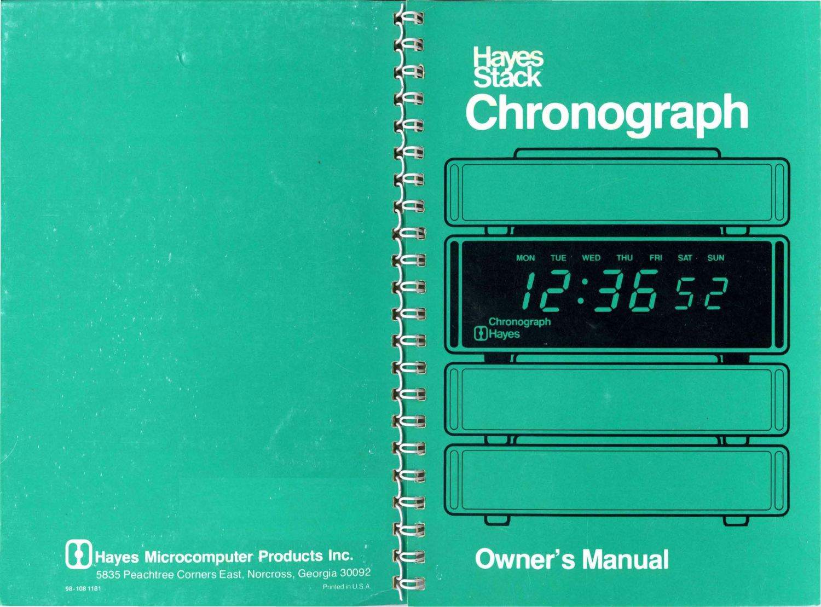

# **Owner's Manual**

**Hayes**<br>Stack<br>Chronograph

 $\blacksquare$ 

**MON** 

Chronograph

л

- 1

**DHayes** 

**TUE** 

**WED** 

**THU** 

 $\cup$  )

11

**SUN** 

π

ב, ד

**SAT** 

**FRI** 

 $\cup$ ر

l~

98-108 1181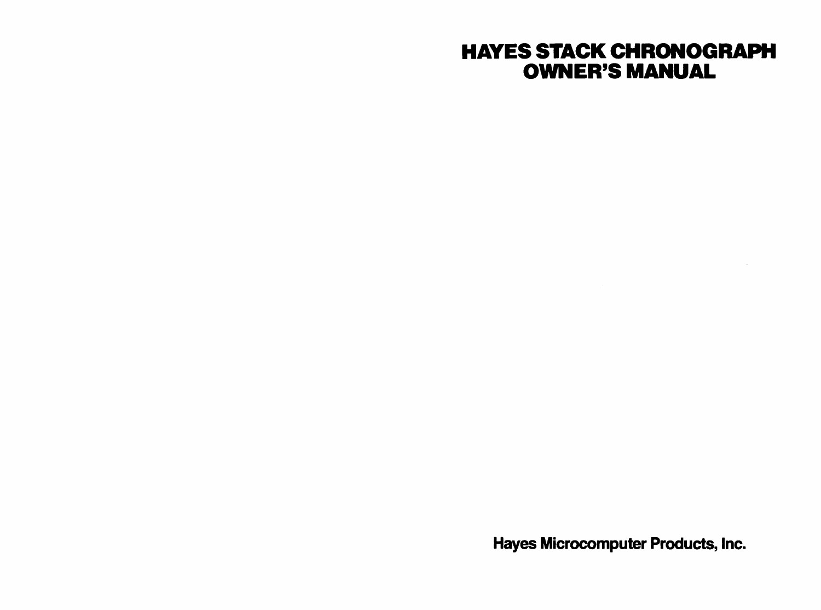### HAYES STACK CHRONOGRAPH OWNER'S MANUAL

Hayes Microcomputer Products, Inc.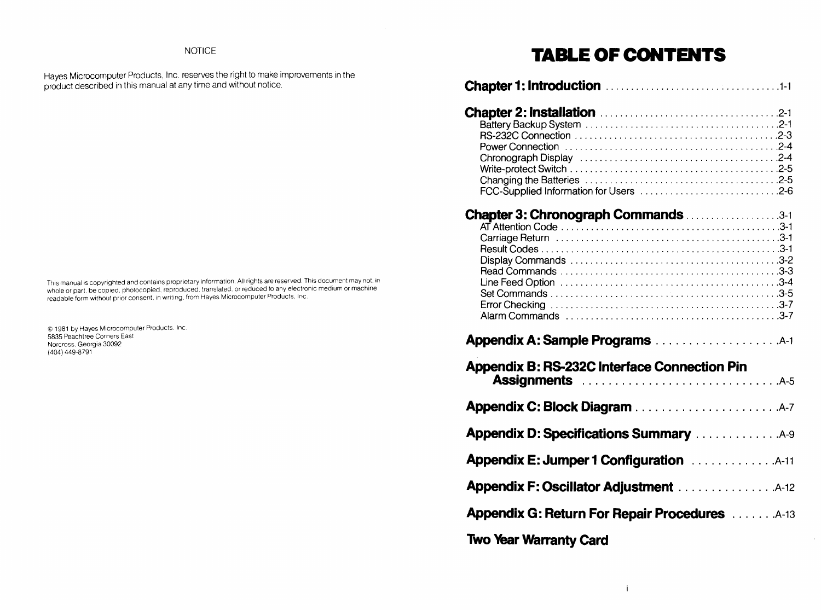### NOTICE

Hayes Microcomputer Products, Inc. reserves the right to make improvements in the product described in this manual at any time and without notice.

This manual is copyrighted and contains proprietary information. All rights are reserved. This document may not, in<br>whole or part, be copied, photocopied, reproduced, translated, or reduced to any electronic medium or mach

© 1981 by Hayes Microcomputer Products. Inc. 5835 Peachtree Corners East Norcross. Georgia 30092 (404) 449'-8791

### **TABLE OF CONTENTS**

| Chapter 3: Chronograph Commands 3-1                                                                                                                                                                                                  |
|--------------------------------------------------------------------------------------------------------------------------------------------------------------------------------------------------------------------------------------|
|                                                                                                                                                                                                                                      |
| <b>Appendix B: RS-232C Interface Connection Pin</b>                                                                                                                                                                                  |
|                                                                                                                                                                                                                                      |
| <b>Appendix D: Specifications Summary </b> A-9                                                                                                                                                                                       |
| <b>Appendix E: Jumper 1 Configuration Accustom Additional Additional Additional Additional Additional Additional Additional Additional Additional Additional Additional Additional Additional Additional Additional Additional A</b> |
| Appendix F: Oscillator Adjustment 4-12                                                                                                                                                                                               |
| <b>Appendix G: Return For Repair Procedures A-13</b>                                                                                                                                                                                 |
| <b>Two Year Warranty Card</b>                                                                                                                                                                                                        |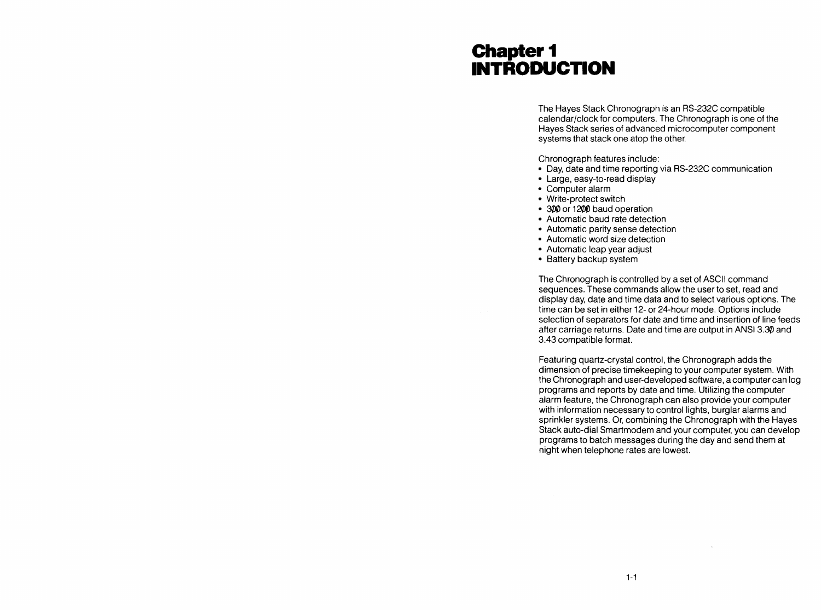### Chapter 1 **INTRODUCTION**

The Hayes Stack Chronograph is an RS-232C compatible calendar/clock for computers. The Chronograph is one of the Hayes Stack series of advanced microcomputer component systems that stack one atop the other.

Chronograph features include:

- Day, date and time reporting via RS-232C communication
- Large, easy-to-read display
- Computer alarm
- Write-protect switch
- 300 or 1200 baud operation
- Automatic baud rate detection
- Automatic parity sense detection
- Automatic word size detection
- Automatic leap year adjust
- Battery backup system

The Chronograph is controlled by a set of ASCII command sequences. These commands allow the user to set, read and display day, date and time data and to select various options. The time can be set in either 12- or 24-hour mode. Options include selection of separators for date and time and insertion of line feeds after carriage returns. Date and time are output in ANSI 3.30 and 3.43 compatible format.

Featuring quartz-crystal control, the Chronograph adds the dimension of precise timekeeping to your computer system. With the Chronograph and user-developed software, a computer can log programs and reports by date and time. Utilizing the computer alarm feature, the Chronograph can also provide your computer with information necessary to control lights, burglar alarms and sprinkler systems. Or, combining the Chronograph with the Hayes Stack auto-dial Smartmodem and your computer, you can develop programs to batch messages during the day and send them at night when telephone rates are lowest.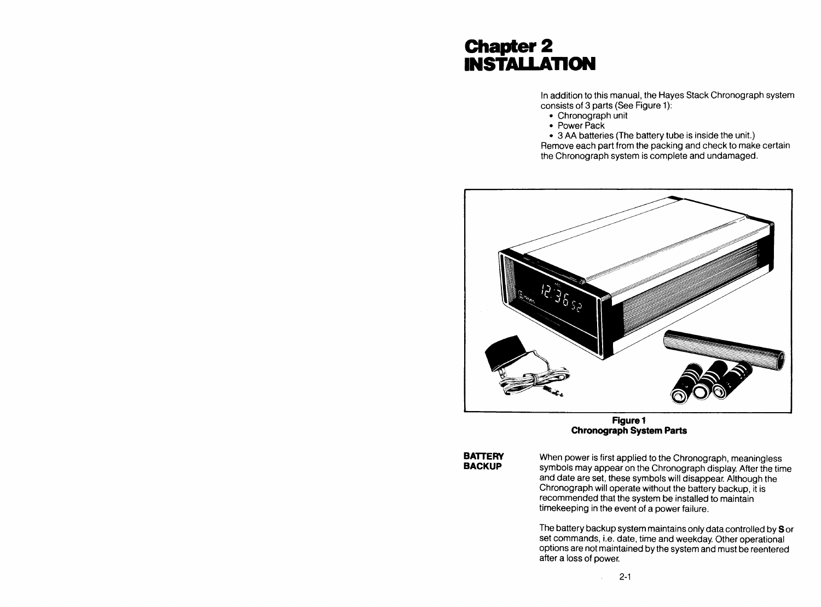### Chapter 2 **INSTALLATION**

In addition to this manual, the Hayes Stack Chronograph system consists of 3 parts (See Figure 1):

- Chronograph unit
- Power Pack

• 3 AA batteries (The battery tube is inside the unit.) Remove each part from the packing and check to make certain the Chronograph system is complete and undamaged.



Figure 1 **Chronograph System Parts** 

**BATTERY BACKUP** 

When power is first applied to the Chronograph, meaningless symbols may appear on the Chronograph display. After the time and date are set, these symbols will disappear. Although the Chronograph will operate without the battery backup, it is recommended that the system be installed to maintain timekeeping in the event of a power failure.

The battery backup system maintains only data controlled by S or set commands, i.e. date, time and weekday. Other operational options are not maintained by the system and must be reentered after a loss of power.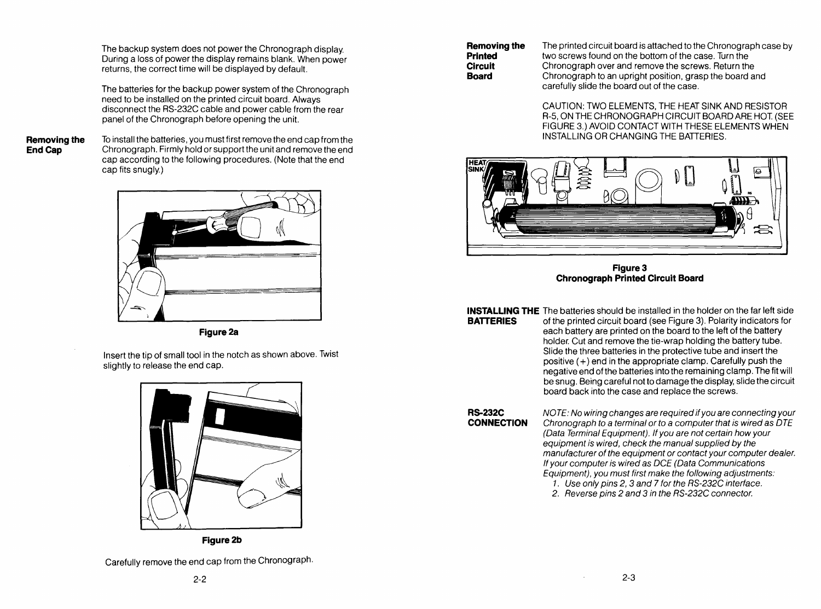The backup system does not power the Chronograph display. During a loss of power the display remains blank. When power returns, the correct time will be displayed by default.

The batteries for the backup power system of the Chronograph need to be installed on the printed circuit board. Always disconnect the RS-232C cable and power cable from the rear panel of the Chronograph before opening the unit.

**Removing the**  End Cap

To install the batteries, you must first remove the end cap from the Chronograph. Firmly hold or support the unit and remove the end cap according to the following procedures. (Note that the end cap fits snugly.)



**Figure 2a** 

Insert the tip of small tool in the notch as shown above. Twist slightly to release the end cap.



**Figure2b** 

Carefully remove the end cap from the Chronograph.

The printed circuit board is attached to the Chronograph case by two screws found on the bottom of the case. Turn the Chronograph over and remove the screws. Return the Chronograph to an upright position, grasp the board and carefully slide the board out of the case.

CAUTION: TWO ELEMENTS, THE HEAT SINK AND RESISTOR R-5, ON THE CHRONOGRAPH CIRCUIT BOARD ARE HOT. (SEE FIGURE 3.) AVOID CONTACT WITH THESE ELEMENTS WHEN INSTALLING OR CHANGING THE BATTERIES.



Figure 3 **Chronograph Printed Circuit Board** 

**INSTALLING THE** The batteries should be installed in the holder on the far left side

**BATTERIES** of the printed circuit board (see Figure 3). Polarity indicators for each battery are printed on the board to the left of the battery holder. Cut and remove the tie-wrap holding the battery tube. Slide the three batteries in the protective tube and insert the positive  $(+)$  end in the appropriate clamp. Carefully push the negative end of the batteries into the remaining clamp. The fit will be snug. Being careful not to damage the display, slide the circuit board back into the case and replace the screws.

**RS-232C CONNECTION**  NOTE: No wiring changes are required if you are connecting your Chronograph to a terminal or to a computer that is wired as DTE (Data Terminal Equipment). If you are not certain how your equipment is wired, check the manual supplied by the manufacturer of the equipment or contact your computer dealer. If your computer is wired as DCE (Data Communications Equipment), you must first make the following adjustments:

1. Use only pins 2, 3 and 7 for the RS-232C interface.

2. Reverse pins 2 and 3 in the RS-232C connector.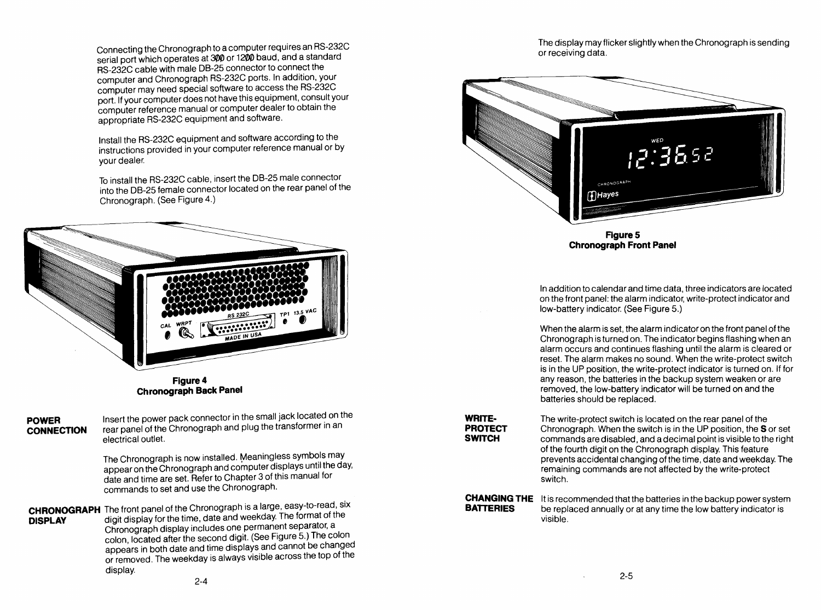Connecting the Chronograph to a computer requires an RS-232C serial port which operates at 300 or 1200 baud, and a standard RS-232C cable with male 08-25 connector to connect the computer and Chronograph RS-232C ports. In addition, your computer may need special software to access the RS-232C port. If your computer does not have this equipment, consult your computer reference manual or computer dealer to obtain the appropriate RS-232C equipment and software.

Install the RS-232C equipment and software according to the instructions provided in your computer reference manual or by your dealer.

To install the RS-232C cable, insert the 08-25 male connector into the 08-25 female connector located on the rear panel of the Chronograph. (See Figure 4.)



Figure 4 **Chronograph Back Panel** 

**POWER CONNECTION**  Insert the power pack connector in the small jack located on the rear panel of the Chronograph and plug the transformer in an electrical outlet.

The Chronograph is now installed. Meaningless symbols may appear on the Chronograph and computer displays until the day, date and time are set. Refer to Chapter 3 of this manual for commands to set and use the Chronograph.

**CHRONOGRAPH** The front panel of the Chronograph is a large, easy-to-read, six **DISPLAY** digit display for the time, date and weekday. The format of the Chronograph display includes one permanent separator, a colon, located after the second digit. (See Figure 5.) The colon appears in both date and time displays and cannot be changed or removed. The weekday is always visible across the top of the display.

The display may flicker slightly when the Chronograph is sending or receiving data.



In addition to calendar and time data, three indicators are located on the front panel: the alarm indicator, write-protect indicator and low-battery indicator. (See Figure 5.)

When the alarm is set, the alarm indicator on the front panel of the Chronograph is turned on. The indicator begins flashing when an alarm occurs and continues flashing until the alarm is cleared or reset. The alarm makes no sound. When the write-protect switch is in the UP position, the write-protect indicator is turned on. If for any reason, the batteries in the backup system weaken or are removed, the low-battery indicator will be turned on and the batteries should be replaced.

**WRITE-PROTECT SWITCH** 

The write-protect switch is located on the rear panel of the Chronograph. When the switch is in the UP position, the S or set commands are disabled, and a decimal point is visible to the right of the fourth digit on the Chronograph display. This feature prevents accidental changing of the time, date and weekday. The remaining commands are not affected by the write-protect SWitch.

**CHANGING THE** It is recommended that the batteries in the backup power system<br>**BATTERIES** be replaced annually or at any time the low battery indicator is be replaced annually or at any time the low battery indicator is VISible.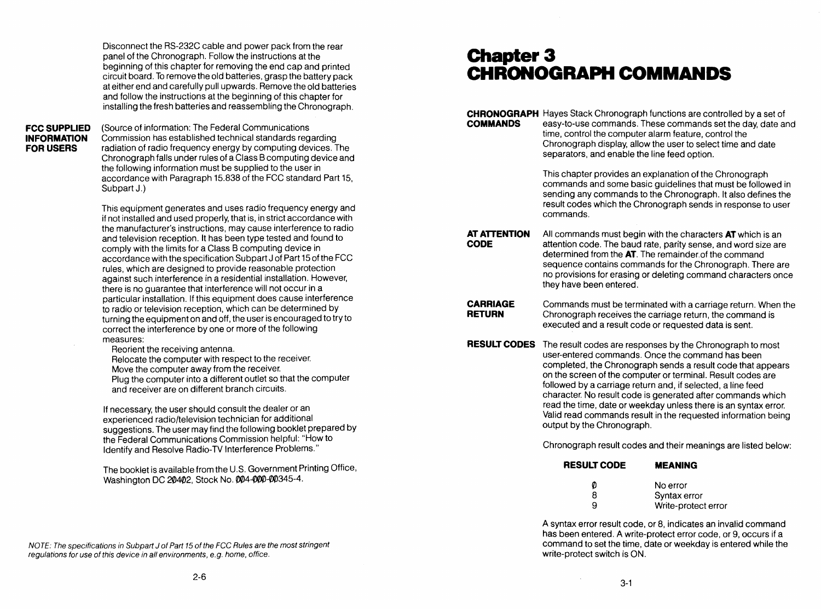Disconnect the RS-232C cable and power pack from the rear panel of the Chronograph. Follow the instructions at the beginning of this chapter for removing the end cap and printed circuit board. To remove the old batteries, grasp the battery pack at either end and carefully pull upwards. Remove the old batteries and follow the instructions at the beginning of this chapter for installing the fresh batteries and reassembling the Chronograph.

#### **FCC SUPPLIED INFORMATION**  FOR USERS

(Source of information: The Federal Communications Commission has established technical standards regarding radiation of radio frequency energy by computing devices. The Chronograph falls under rules of a Class B computing device and the following information must be supplied to the user in accordance with Paragraph 15.838 of the FCC standard Part 15, Subpart J.)

This equipment generates and uses radio frequency energy and if not installed and used properly, that is, in strict accordance with the manufacturer'S instructions, may cause interference to radio and television reception. It has been type tested and found to comply with the limits for a Class B computing device in accordance with the specification Subpart J of Part 15 of the FCC rules, which are designed to provide reasonable protection against such interference in a residential installation. However, there is no guarantee that interference will not occur in a particular installation. If this equipment does cause interference to radio or television reception, which can be determined by turning the equipment on and off, the user is encouraged to try to correct the interference by one or more of the following measures:

Reorient the receiving antenna.

Relocate the computer with respect to the receiver. Move the computer away from the receiver.

Plug the computer into a different outlet so that the computer and receiver are on different branch circuits.

If necessary, the user should consult the dealer or an experienced radio/television technician for additional suggestions. The user may find the following booklet prepared by the Federal Communications Commission helpful: "How to Identify and Resolve Radio-TV Interference Problems."

The booklet is available from the U.S. Government Printing Office, Washington DC 20402, Stock No. 004-000-00345-4.

NOTE: The specifications in Subpart J of Part 15 of the FCC Rules are the most stringent regulations for use of this device in all environments, e.g. home, office.

### Chapter 3 CHRONOGRAPH COMMANDS

**CODE** 

**CHRONOGRAPH** Hayes Stack Chronograph functions are controlled by a set of **COMMANDS** easy-to-use commands. These commands set the day, date and time, control the computer alarm feature, control the Chronograph display, allow the user to select time and date separators, and enable the line feed option.

> This chapter provides an explanation of the Chronograph commands and some basic guidelines that must be followed in sending any commands to the Chronograph. It also defines the result codes which the Chronograph sends in response to user commands.

**AT ATTENTION**  All commands must begin with the characters **AT** which is an attention code. The baud rate, parity sense, and word size are determined from the **AT.** The remainder.of the command sequence contains commands for the Chronograph. There are no provisions for erasing or deleting command characters once they have been entered.

**CARRIAGE RETURN**  Commands must be terminated with a carriage return. When the Chronograph receives the carriage return, the command is executed and a result code or requested data is sent.

**RESULT CODES**  The result codes are responses by the Chronograph to most user-entered commands. Once the command has been completed, the Chronograph sends a result code that appears on the screen of the computer or terminal. Result codes are followed by a carriage return and, if selected, a line feed character. No result code is generated after commands which read the time, date or weekday unless there is an syntax error. Valid read commands result in the requested information being output by the Chronograph.

Chronograph result codes and their meanings are listed below:

#### RESULT CODE **MEANING**

| Ø | No error            |
|---|---------------------|
| 8 | Syntax error        |
| 9 | Write-protect error |

A syntax error result code, or 8, indicates an invalid command has been entered. A write-protect error code, or 9, occurs if a command to set the time, date or weekday is entered while the write-protect switch is ON.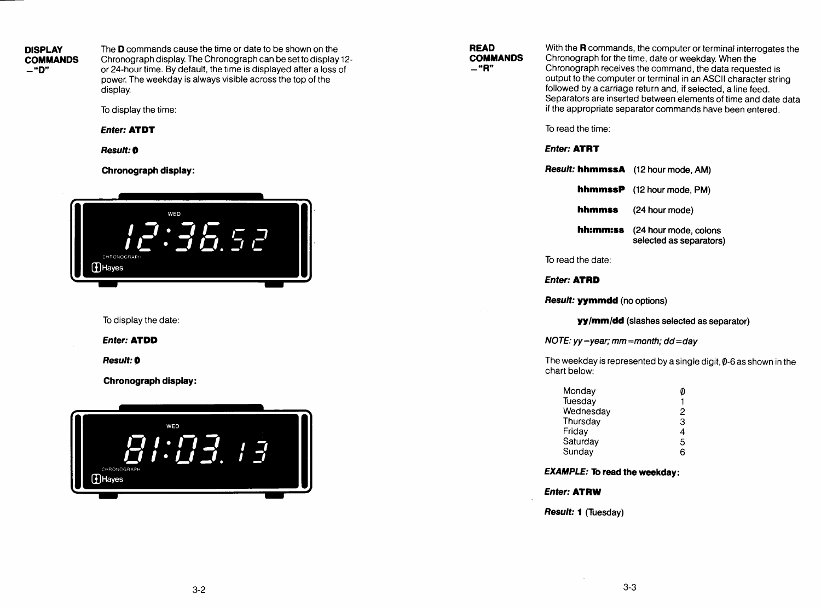**DISPLAY COMMANDS**  -"D"

The D commands cause the time or date to be shown on the Chronograph display. The Chronograph can be set to display 12 or 24-hour time. By default, the time is displayed after a loss of power. The weekday is always visible across the top of the display.

To display the time:

**Enter: ATDT** 

*Result:* 0

**Chronograph display:** 



To display the date:

**Enter: ATDD** 

*Result:* 0

**Chronograph display:** 

| WED<br>CHRONOGRAPH<br><b>1</b> Hayes |  |  |
|--------------------------------------|--|--|
|                                      |  |  |

**READ COMMANDS**   $-$ "R"

With the **R** commands, the computer or terminal interrogates the Chronograph for the time, date or weekday. When the Chronograph receives the command, the data requested is output to the computer or terminal in an ASCII character string followed by a carriage return and, if selected, a line feed. Separators are inserted between elements of time and date data if the appropriate separator commands have been entered.

To read the time:

#### **Enter: ATRT**

| <b>Result: hhmmssA</b> (12 hour mode, AM) |                                                  |
|-------------------------------------------|--------------------------------------------------|
|                                           | <b>hhmmssP</b> (12 hour mode, PM)                |
| hhmmss                                    | (24 hour mode)                                   |
| hh:mm:ss                                  | (24 hour mode, colons<br>selected as separators) |

To read the date:

**Enter: ATRD** 

**Result: yymmdd** (no options)

**yy/mm/dd** (slashes selected as separator)

NOTE:  $yy = year$ ; mm = month;  $dd = day$ 

The weekday is represented by a single digit,  $\varphi$ -6 as shown in the chart below:

| 0 |
|---|
| 1 |
| 2 |
| 3 |
| 4 |
| 5 |
| 6 |
|   |

### **EXAMPLE: To read the weekday:**

**Enter: ATRW** 

**Result: 1** (Tuesday)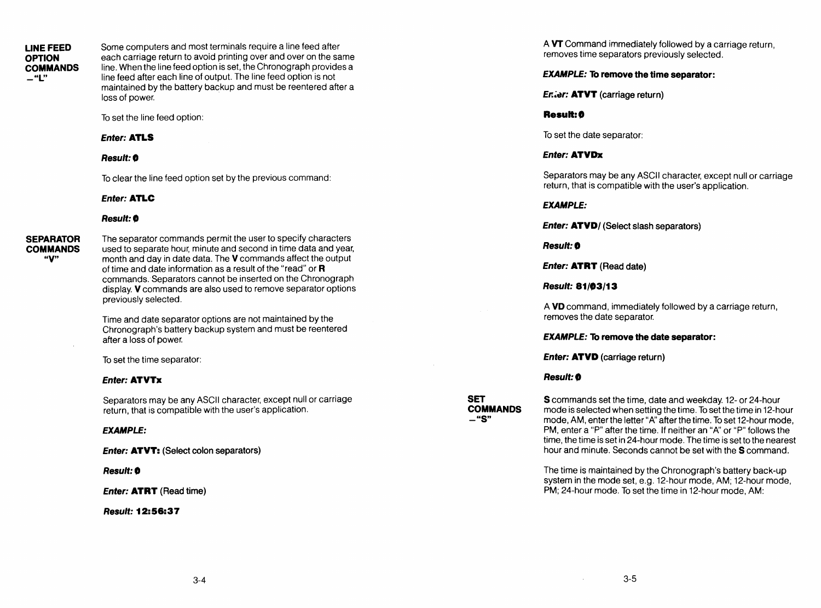#### LINE FEED **OPTION COMMANDS -"L"**

Some computers and most terminals require a line feed after each carriage return to avoid printing over and over on the same line. When the line feed option is set, the Chronograph provides a line feed after each line of output. The line feed option is not maintained by the battery backup and must be reentered after a loss of power.

To set the line feed option:

#### **Enter: ATLS**

#### *Result:'*

To clear the line feed option set by the previous command:

#### **Enter: ATLC**

#### **Result: 0**

**SEPARATOR COMMANDS**  "V"

The separator commands permit the user to specify characters used to separate hour, minute and second in time data and year, month and day in date data. The V commands affect the output of time and date information as a result of the "read" or R commands. Separators cannot be inserted on the Chronograph display. V commands are also used to remove separator options previously selected.

Time and date separator options are not maintained by the Chronograph's battery backup system and must be reentered after a loss of power.

To set the time separator:

#### **Enter: ATVTx**

Separators may be any ASCII character, except null or carriage return, that is compatible with the user's application.

#### **EXAMPLE:**

**Enter: ATVT:** (Select colon separators)

#### **Result: 0**

**Enter: ATRT** (Read time)

#### *Result: 12:56:37*

A VT Command immediately followed by a carriage return, removes time separators previously selected.

#### **EXAMPLE: To remove the time separator:**

Enter: ATVT (carriage return)

#### **Result: 0**

To set the date separator:

#### **Enter: ATVDx**

Separators may be any ASCII character, except null or carriage return, that is compatible with the user's application.

#### **EXAMPLE:**

**Enter: ATVD/** (Select slash separators)

**Result: 0** 

**Enter: ATRT** (Read date)

**Result: 81/03/13** 

A **VD** command, immediately followed by a carriage return, removes the date separator.

#### **EXAMPLE: To remove the date separator:**

**Enter: ATVD** (carriage return)

#### *Result:,*

**SET COMMANDS -"S"** 

S commands set the time, date and weekday. 12- or 24-hour mode is selected when setting the time. To set the time in 12-hour mode, AM, enter the letter "A" after the time. To set 12-hour mode, PM, enter a "P" after the time. If neither an "A" or "P" follows the time, the time is set in 24-hour mode. The time is set to the nearest hour and minute. Seconds cannot be set with the S command.

The time is maintained by the Chronograph's battery back-up system in the mode set, e.g. 12-hour mode, AM; 12-hour mode, PM; 24-hour mode. To set the time in 12-hour mode, AM: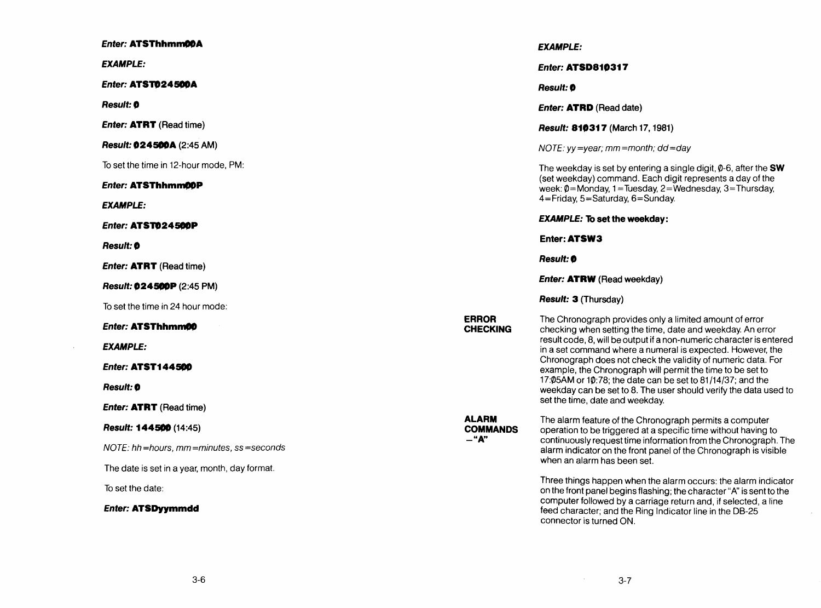| <b>Enter: ATSThhmm00A</b>                       |                                 | <b>EXAMPLE:</b>                                                                                                                                                    |
|-------------------------------------------------|---------------------------------|--------------------------------------------------------------------------------------------------------------------------------------------------------------------|
| <b>EXAMPLE:</b>                                 |                                 | <b>Enter: ATSD810317</b>                                                                                                                                           |
| <b>Enter: ATST024500A</b>                       |                                 | <b>Result: 0</b>                                                                                                                                                   |
| <b>Result: 0</b>                                |                                 | <b>Enter: ATRD</b> (Read date)                                                                                                                                     |
| <b>Enter: ATRT</b> (Read time)                  |                                 | Result: 810317 (March 17, 1981)                                                                                                                                    |
| <b>Result: 024500A</b> (2:45 AM)                |                                 | NOTE: $yy = year$ ; mm = month; dd = day                                                                                                                           |
| To set the time in 12-hour mode. PM:            |                                 | The weekday is set by entering a single digit, $\theta$ -6, after the <b>SW</b>                                                                                    |
| <b>Enter: ATSThhmm00P</b>                       |                                 | (set weekday) command. Each digit represents a day of the<br>week: $\emptyset$ =Monday, 1=Tuesday, 2=Wednesday, 3=Thursday,                                        |
| <b>EXAMPLE:</b>                                 |                                 | 4=Friday, 5=Saturday, 6=Sunday.                                                                                                                                    |
| <b>Enter: ATST024500P</b>                       |                                 | <b>EXAMPLE: To set the weekday:</b>                                                                                                                                |
| <b>Result: 0</b>                                |                                 | Enter: ATSW3                                                                                                                                                       |
| <b>Enter: ATRT</b> (Read time)                  |                                 | <b>Result: 0</b>                                                                                                                                                   |
| Result: 024500P (2:45 PM)                       |                                 | <b>Enter: ATRW</b> (Read weekday)                                                                                                                                  |
| To set the time in 24 hour mode:                |                                 | <b>Result: 3 (Thursday)</b>                                                                                                                                        |
| <b>Enter: ATSThhmm00</b>                        | <b>ERROR</b><br><b>CHECKING</b> | The Chronograph provides only a limited amount of error<br>checking when setting the time, date and weekday. An error                                              |
| <b>EXAMPLE:</b>                                 |                                 | result code, 8, will be output if a non-numeric character is entered<br>in a set command where a numeral is expected. However, the                                 |
| <b>Enter: ATST144500</b>                        |                                 | Chronograph does not check the validity of numeric data. For<br>example, the Chronograph will permit the time to be set to                                         |
| Result: 0                                       |                                 | 17:05AM or 10:78; the date can be set to 81/14/37; and the<br>weekday can be set to 8. The user should verify the data used to                                     |
| <b>Enter: ATRT</b> (Read time)                  |                                 | set the time, date and weekday.                                                                                                                                    |
| Result: 144500 (14:45)                          | <b>ALARM</b><br><b>COMMANDS</b> | The alarm feature of the Chronograph permits a computer<br>operation to be triggered at a specific time without having to                                          |
| $NOTE$ . hh = hours, mm = minutes, ss = seconds | $-$ "A"                         | continuously request time information from the Chronograph. The<br>alarm indicator on the front panel of the Chronograph is visible<br>when an alarm has been set. |
| The date is set in a year, month, day format.   |                                 |                                                                                                                                                                    |
| To set the date:                                |                                 | Three things happen when the alarm occurs: the alarm indicator<br>on the front panel begins flashing; the character "A" is sent to the                             |
| <b>Enter: ATSDyymmdd</b>                        |                                 | computer followed by a carriage return and, if selected, a line<br>feed character; and the Ring Indicator line in the DB-25<br>connector is turned ON.             |

 $\sim 10^{-1}$ 

 $\sim$ 

 $\sim 10^7$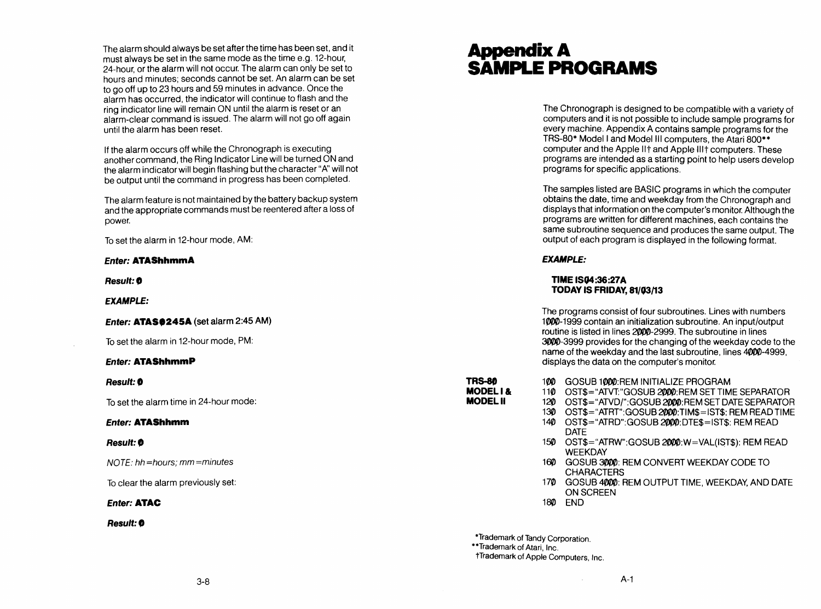The alarm should always be set after the time has been set, and it must always be set in the same mode as the time e.g. 12-hour, 24-hour, or the alarm will not occur. The alarm can only be set to hours and minutes; seconds cannot be set. An alarm can be set to go off up to 23 hours and 59 minutes in advance. Once the alarm has occurred, the indicator will continue to flash and the ring indicator line will remain ON until the alarm is reset or an alarm-clear command is issued. The alarm will not go off again until the alarm has been reset.

If the alarm occurs off while the Chronograph is executing another command, the Ring Indicator Line will be turned ON and the alarm indicator will begin flashing but the character "A" will not be output until the command in progress has been completed.

The alarm feature is not maintained by the battery backup system and the appropriate commands must be reentered after a loss of power.

To set the alarm in 12-hour mode, AM:

#### **Enter: ATAShhmmA**

*Result:* 0

**EXAMPLE:** 

#### **Enter: ATAS0245A** (set alarm 2:45 AM)

To set the alarm in 12-hour mode, PM:

#### **Enter: ATAShhmmP**

*Result:* 0

To set the alarm time in 24-hour mode:

#### **Enter: ATAShhmm**

#### *Result:* 0

NOTE: hh=hours; mm=minutes

To clear the alarm previously set:

#### **Enter: ATAC**

*Result:* 0

### Appendix A **SAMPLE PROGRAMS**

The Chronograph is designed to be compatible with a variety of computers and it is not possible to include sample programs for every machine. Appendix A contains sample programs for the TRS-80\* Model I and Model III computers, the Atari 800\* \* computer and the Apple lit and Apple lilt computers. These programs are intended as a starting point to help users develop programs for specific applications.

The samples listed are BASIC programs in which the computer obtains the date, time and weekday from the Chronograph and displays that information on the computer's monitor. Although the programs are written for different machines, each contains the same subroutine sequence and produces the same output. The output of each program is displayed in the following format.

#### **EXAMPLE:**

#### **TIME IS04:36:27A TODAY IS FRIDAY, 81/03/13**

The programs consist of four subroutines. Lines with numbers *1'111Y1J-1999* contain an initialization subroutine. An input/output routine is listed in lines 2000-2999. The subroutine in lines *3'I1/YIJ-3999* provides for the changing of the weekday code to the name of the weekday and the last subroutine, lines 4000-4999, displays the data on the computer's monitor.

- **TRS-8f)**  MODELl & MODEL II
	- 120 OST\$="ATVD/":GOSUB 2000: REM SET DATE SEPARATOR
		- 130 OST\$="ATRT": GOSUB 2000: TIM\$=IST\$: REM READ TIME 140 OST\$="ATRD":GOSUB 2000:DTE\$=IST\$: REM READ
			- DATE
			- 150 OST\$="ATRW":GOSUB 2000:W=VAL(IST\$): REM READ **WEEKDAY**

110 OST\$="ATVT:"GOSUB 2000: REM SET TIME SEPARATOR

160 GOSUB 3000: REM CONVERT WEEKDAY CODE TO CHARACTERS

100 GOSUB 1000:REM INITIALIZE PROGRAM

- 170 GOSUB 4000: REM OUTPUT TIME, WEEKDAY, AND DATE ON SCREEN
- 18q) END

\*Trademark of Tandy Corporation.

\*\*Trademark of Atari, Inc.

tTrademark of Apple Computers, Inc.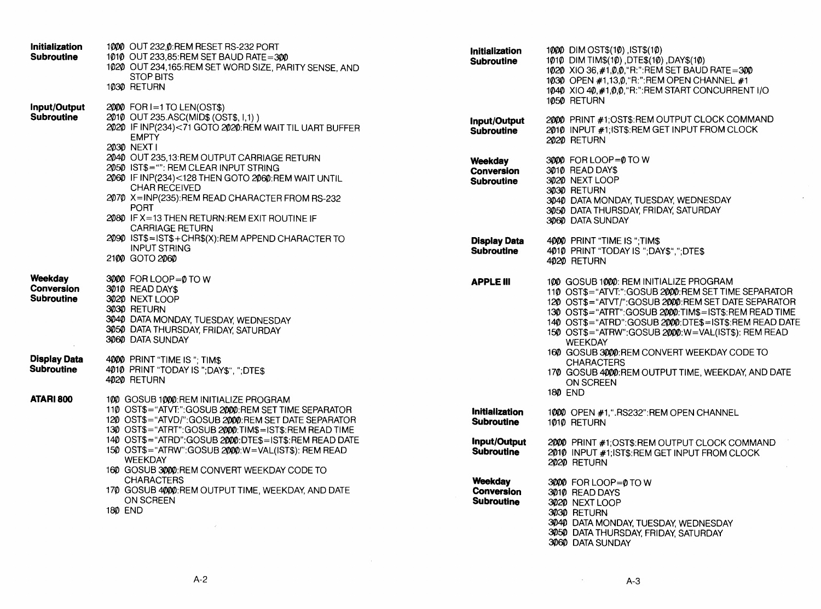| Initialization<br><b>Subroutine</b>               | 1000 OUT 232, 0: REM RESET RS-232 PORT<br>1010 OUT 233,85:REM SET BAUD RATE=300<br>1020 OUT 234,165. REM SET WORD SIZE, PARITY SENSE, AND<br><b>STOP BITS</b><br>1030 RETURN                                                                                                                                  | <b>Initialization</b><br><b>Subroutine</b>               | 1000 DIM OST\$(10), IST\$(10)<br>1010 DIM TIMS(10), DTES(10), DAYS(10)<br>1020 XIO 36, #1, 0, 0, "R:": REM SET BAUD RATE = 300<br>1030 OPEN #1,13,0, "R:": REM OPEN CHANNEL #1<br>1040 XIO 40, #1,0,0, "R:": REM START CONCURRENT I/O<br>1050 RETURN                                                                                              |
|---------------------------------------------------|---------------------------------------------------------------------------------------------------------------------------------------------------------------------------------------------------------------------------------------------------------------------------------------------------------------|----------------------------------------------------------|---------------------------------------------------------------------------------------------------------------------------------------------------------------------------------------------------------------------------------------------------------------------------------------------------------------------------------------------------|
| Input/Output<br><b>Subroutine</b>                 | 2000 FOR I=1 TO LEN(OST\$)<br>2010 OUT 235.ASC(MID\$ (OST\$, I,1))<br>2020 IF INP(234)<71 GOTO 2020:REM WAIT TIL UART BUFFER<br><b>EMPTY</b><br>2030 NEXT1                                                                                                                                                    | Input/Output<br><b>Subroutine</b>                        | 2000 PRINT #1;OST\$:REM OUTPUT CLOCK COMMAND<br>2010 INPUT #1, IST\$: REM GET INPUT FROM CLOCK<br>2020 RETURN                                                                                                                                                                                                                                     |
|                                                   | 2040 OUT 235,13:REM OUTPUT CARRIAGE RETURN<br>2050 IST\$="": REM CLEAR INPUT STRING<br>2060 IF INP(234)<128 THEN GOTO 2060: REM WAIT UNTIL<br><b>CHAR RECEIVED</b><br>2070 X=INP(235):REM READ CHARACTER FROM RS-232<br><b>PORT</b><br>2080 IF X=13 THEN RETURN:REM EXIT ROUTINE IF<br><b>CARRIAGE RETURN</b> | Weekday<br><b>Conversion</b><br><b>Subroutine</b>        | 3000 FOR LOOP=0 TO W<br>3010 READ DAY\$<br>3020 NEXT LOOP<br>3030 RETURN<br>3040 DATA MONDAY, TUESDAY, WEDNESDAY<br>3050 DATA THURSDAY, FRIDAY SATURDAY<br>3060 DATA SUNDAY                                                                                                                                                                       |
|                                                   | 2090 IST\$=IST\$+CHR\$(X):REM APPEND CHARACTER TO<br><b>INPUT STRING</b><br>2100 GOTO 2060                                                                                                                                                                                                                    | <b>Display Data</b><br><b>Subroutine</b>                 | 4000 PRINT "TIME IS"; TIMS<br>4010 PRINT "TODAY IS ";DAY\$",";DTE\$<br>4020 RETURN                                                                                                                                                                                                                                                                |
| Weekdav<br><b>Conversion</b><br><b>Subroutine</b> | 3000 FOR LOOP=0 TO W<br>3010 READ DAYS<br>3020 NEXT LOOP<br>3030 RETURN<br>3040 DATA MONDAY, TUESDAY, WEDNESDAY<br>3050 DATA THURSDAY, FRIDAY, SATURDAY<br>3060 DATA SUNDAY                                                                                                                                   | <b>APPLE III</b>                                         | 100 GOSUB 1000: REM INITIALIZE PROGRAM<br>110 OST\$="ATVT:":GOSUB 2000:REM SET TIME SEPARATOR<br>120 OST\$="ATVT/":GOSUB 2000: REM SET DATE SEPARATOR<br>130 OST\$="ATRT":GOSUB 2000:TIM\$=IST\$:REM READ TIME<br>140 OST\$="ATRD":GOSUB 20000:DTE\$=IST\$:REM READ DATE<br>150 OST\$="ATRW":GOSUB 20000:W=VAL(IST\$): REM READ<br><b>WEEKDAY</b> |
| <b>Display Data</b><br><b>Subroutine</b>          | 4000 PRINT "TIME IS"; TIMS<br>4010 PRINT "TODAY IS ";DAY\$", ";DTE\$<br>4020 RETURN                                                                                                                                                                                                                           |                                                          | 160 GOSUB 3000:REM CONVERT WEEKDAY CODE TO<br><b>CHARACTERS</b><br>170 GOSUB 4000:REM OUTPUT TIME, WEEKDAY, AND DATE<br>ON SCREEN<br><b>180 END</b>                                                                                                                                                                                               |
| ATARI 800                                         | 100 GOSUB 1000:REM INITIALIZE PROGRAM<br>110 OST\$="ATVT:":GOSUB 2000:REM SET TIME SEPARATOR<br>120 OST\$="ATVD/":GOSUB 20000:REM SET DATE SEPARATOR<br>130 OST\$="ATRT":GOSUB 2000:TIM\$=IST\$:REM READ TIME                                                                                                 | <b>Initialization</b><br><b>Subroutine</b>               | 1000 OPEN #1, ".RS232": REM OPEN CHANNEL<br>1010 RETURN                                                                                                                                                                                                                                                                                           |
|                                                   | 140 OST\$="ATRD":GOSUB 2000:DTE\$=IST\$:REM READ DATE<br>150 OST\$="ATRW":GOSUB 2000:W=VAL(IST\$): REM READ<br><b>WEEKDAY</b><br>160 GOSUB 3000:REM CONVERT WEEKDAY CODE TO                                                                                                                                   | Input/Output<br><b>Subroutine</b>                        | 2000 PRINT #1;OST\$:REM OUTPUT CLOCK COMMAND<br>2010 INPUT #1; IST\$:REM GET INPUT FROM CLOCK<br>2020 RETURN                                                                                                                                                                                                                                      |
|                                                   | <b>CHARACTERS</b><br>170 GOSUB 4000:REM OUTPUT TIME, WEEKDAY, AND DATE<br>ON SCREEN<br><b>180 END</b>                                                                                                                                                                                                         | <b>Weekday</b><br><b>Conversion</b><br><b>Subroutine</b> | 3000 FOR LOOP=0 TO W<br>3010 READ DAYS<br>3020 NEXT LOOP<br>3030 RETURN                                                                                                                                                                                                                                                                           |
|                                                   |                                                                                                                                                                                                                                                                                                               |                                                          | 3040 DATA MONDAY, TUESDAY, WEDNESDAY<br>3050 DATA THURSDAY, FRIDAY, SATURDAY                                                                                                                                                                                                                                                                      |

A-3

 $\sim$ 

3060 DATA SUNDAY

 $\sim$   $\sim$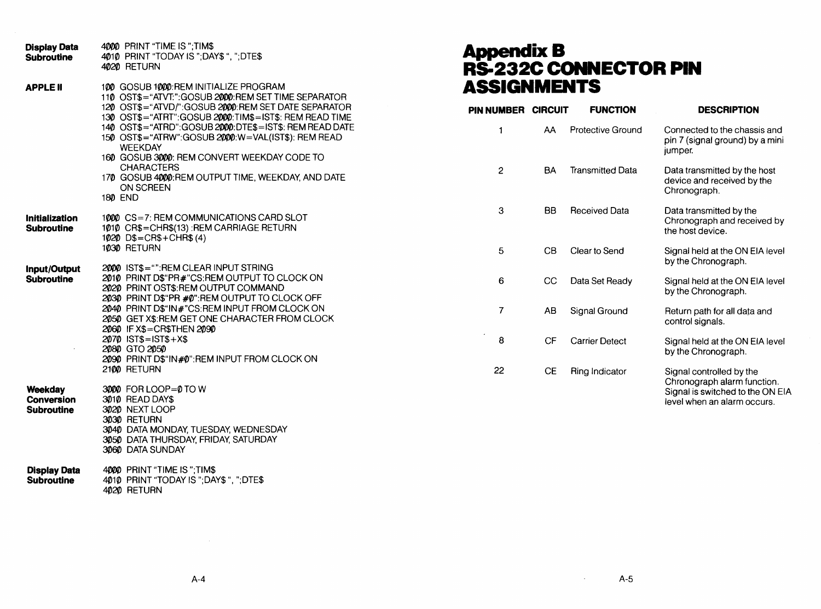| <b>Display Data</b><br><b>Subroutine</b>          | 4000 PRINT "TIME IS"; TIMS<br>4010 PRINT "TODAY IS ";DAY\$ ", ";DTE\$<br>4020 RETURN                                                                                                                                                                                                                                                                                                                                                                                                                    |
|---------------------------------------------------|---------------------------------------------------------------------------------------------------------------------------------------------------------------------------------------------------------------------------------------------------------------------------------------------------------------------------------------------------------------------------------------------------------------------------------------------------------------------------------------------------------|
| <b>APPLE II</b>                                   | 100 GOSUB 1000:REM INITIALIZE PROGRAM<br>110 OST\$="ATVT:":GOSUB 2000:REM SET TIME SEPARATOR<br>120 OST\$="ATVD/":GOSUB 2000.REM SET DATE SEPARATOR<br>130 OST\$="ATRT":GOSUB 2000:TIM\$=IST\$: REM READ TIME<br>140 OST\$="ATRD":GOSUB 2000:DTE\$=IST\$: REM READ DATE<br>150 OST\$="ATRW":GOSUB 2000.W=VAL(IST\$): REM READ<br><b>WEEKDAY</b><br>160 GOSUB 3000: REM CONVERT WEEKDAY CODE TO<br><b>CHARACTERS</b><br>170 GOSUB 4000:REM OUTPUT TIME, WEEKDAY, AND DATE<br><b>ON SCREEN</b><br>180 END |
| <b>Initialization</b><br><b>Subroutine</b>        | 1000 CS=7: REM COMMUNICATIONS CARD SLOT<br>1010 CR\$=CHR\$(13):REM CARRIAGE RETURN<br>1020 D\$=CR\$+CHR\$(4)<br>1030 RETURN                                                                                                                                                                                                                                                                                                                                                                             |
| Input/Output<br><b>Subroutine</b>                 | 2000 ISTS="".REM CLEAR INPUT STRING<br>2010 PRINT D\$"PR#"CS:REM OUTPUT TO CLOCK ON<br>2020 PRINT OST\$:REM OUTPUT COMMAND<br>2030 PRINT D\$"PR #0":REM OUTPUT TO CLOCK OFF<br>2040 PRINT D\$"IN#"CS:REM INPUT FROM CLOCK ON<br>2050 GET X\$: REM GET ONE CHARACTER FROM CLOCK<br>2060 IF X\$=CR\$THEN 2090<br>2070 IST\$=IST\$+X\$<br>2080 GTO 2050<br>2090 PRINT D\$"IN#0":REM INPUT FROM CLOCK ON<br>2100 RETURN                                                                                     |
| Weekday<br><b>Conversion</b><br><b>Subroutine</b> | 30000 FOR LOOP=0 TO W<br>3010 READ DAY\$<br>3020 NEXT LOOP<br>3030 RETURN<br>3040 DATA MONDAY, TUESDAY, WEDNESDAY<br>3050 DATA THURSDAY, FRIDAY, SATURDAY<br>3060 DATA SUNDAY                                                                                                                                                                                                                                                                                                                           |
| <b>Display Data</b><br><b>Subroutine</b>          | 4000 PRINT "TIME IS";TIM\$<br>4010 PRINT "TODAY IS ";DAY\$ ", ";DTE\$<br>4020 RETURN                                                                                                                                                                                                                                                                                                                                                                                                                    |

### **AppendixB R5-232C CONNECTOR PIN ASSIGNMENTS**

| PIN NUMBER     | <b>CIRCUIT</b> | <b>FUNCTION</b>          | <b>DESCRIPTION</b>                                                                                                         |
|----------------|----------------|--------------------------|----------------------------------------------------------------------------------------------------------------------------|
| 1              | AA             | <b>Protective Ground</b> | Connected to the chassis and<br>pin 7 (signal ground) by a mini<br>jumper.                                                 |
| $\overline{c}$ | BA             | <b>Transmitted Data</b>  | Data transmitted by the host<br>device and received by the<br>Chronograph.                                                 |
| 3              | BB             | <b>Received Data</b>     | Data transmitted by the<br>Chronograph and received by<br>the host device.                                                 |
| 5              | CВ             | Clear to Send            | Signal held at the ON EIA level<br>by the Chronograph.                                                                     |
| 6              | CС             | Data Set Ready           | Signal held at the ON EIA level<br>by the Chronograph.                                                                     |
| 7              | AB             | Signal Ground            | Return path for all data and<br>control signals.                                                                           |
| 8              | СF             | <b>Carrier Detect</b>    | Signal held at the ON EIA level<br>by the Chronograph.                                                                     |
| 22             | СE             | Ring Indicator           | Signal controlled by the<br>Chronograph alarm function.<br>Signal is switched to the ON EIA<br>level when an alarm occurs. |

 $\sim 10^{-11}$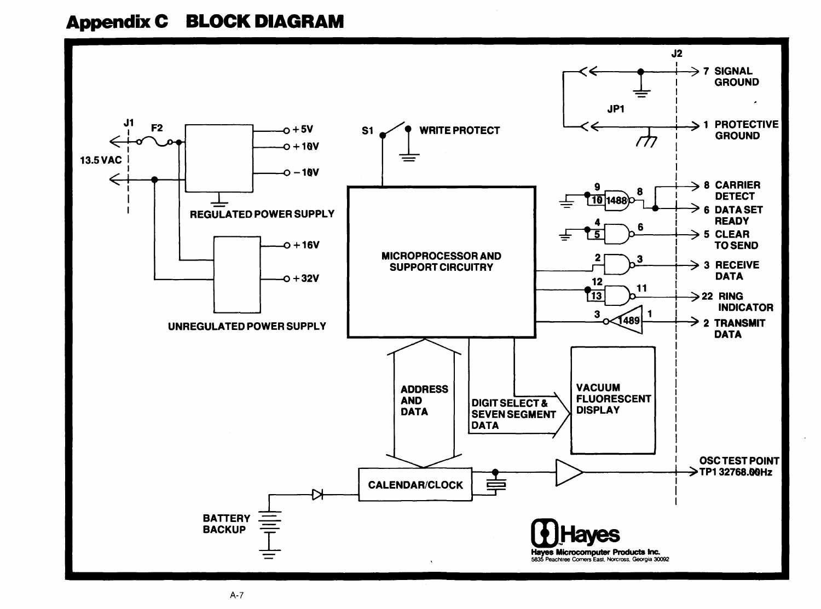## **Appendix C BLOCK DIAGRAM**

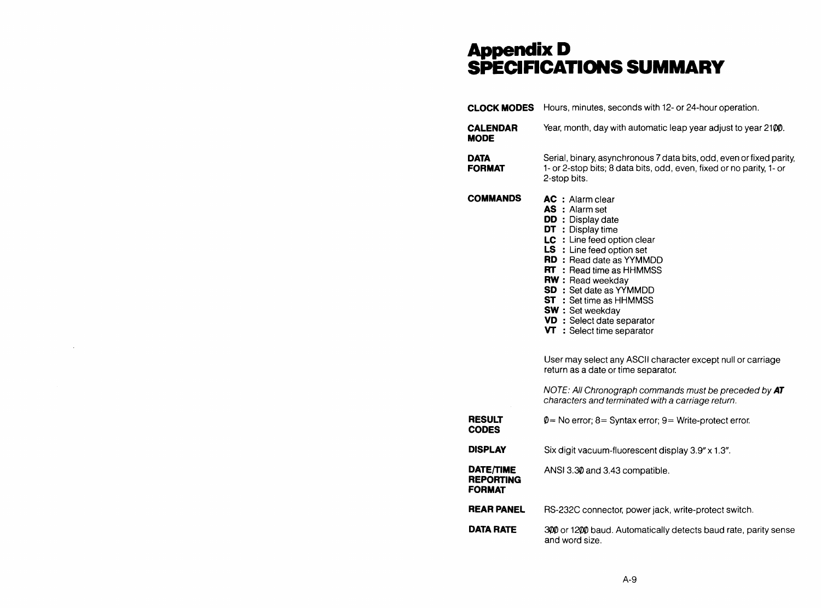### **AppenclixD SPECIFICATIONS SUMMARY**

|                                                | <b>CLOCK MODES</b> Hours, minutes, seconds with 12- or 24-hour operation.                                                                                                                                                                                                                                                                                                                                                                                                                                                                                                                                                               |
|------------------------------------------------|-----------------------------------------------------------------------------------------------------------------------------------------------------------------------------------------------------------------------------------------------------------------------------------------------------------------------------------------------------------------------------------------------------------------------------------------------------------------------------------------------------------------------------------------------------------------------------------------------------------------------------------------|
| <b>CALENDAR</b><br><b>MODE</b>                 | Year, month, day with automatic leap year adjust to year 2100.                                                                                                                                                                                                                                                                                                                                                                                                                                                                                                                                                                          |
| <b>DATA</b><br><b>FORMAT</b>                   | Serial, binary, asynchronous 7 data bits, odd, even or fixed parity,<br>1- or 2-stop bits; 8 data bits, odd, even, fixed or no parity, 1- or<br>2-stop bits.                                                                                                                                                                                                                                                                                                                                                                                                                                                                            |
| <b>COMMANDS</b>                                | <b>AC</b> : Alarm clear<br><b>AS</b> : Alarm set<br>DD: Display date<br>DT : Display time<br>LC : Line feed option clear<br><b>LS</b> : Line feed option set<br><b>RD</b> : Read date as YYMMDD<br><b>RT</b> : Read time as HHMMSS<br><b>RW</b> : Read weekday<br><b>SD</b> : Set date as YYMMDD<br><b>ST</b> : Set time as HHMMSS<br>SW: Set weekday<br>VD : Select date separator<br>$VT$ : Select time separator<br>User may select any ASCII character except null or carriage<br>return as a date or time separator.<br>NOTE: All Chronograph commands must be preceded by AT<br>characters and terminated with a carriage return. |
| <b>RESULT</b><br><b>CODES</b>                  | $\varphi$ = No error; 8 = Syntax error; 9 = Write-protect error.                                                                                                                                                                                                                                                                                                                                                                                                                                                                                                                                                                        |
| <b>DISPLAY</b>                                 | Six digit vacuum-fluorescent display 3.9" x 1.3".                                                                                                                                                                                                                                                                                                                                                                                                                                                                                                                                                                                       |
| DATE/TIME<br><b>REPORTING</b><br><b>FORMAT</b> | ANSI 3.30 and 3.43 compatible.                                                                                                                                                                                                                                                                                                                                                                                                                                                                                                                                                                                                          |
| <b>REAR PANEL</b>                              | RS-232C connector, power jack, write-protect switch.                                                                                                                                                                                                                                                                                                                                                                                                                                                                                                                                                                                    |
| DATA RATE                                      | 300 or 1200 baud. Automatically detects baud rate, parity sense<br>and word size.                                                                                                                                                                                                                                                                                                                                                                                                                                                                                                                                                       |

 $\sim$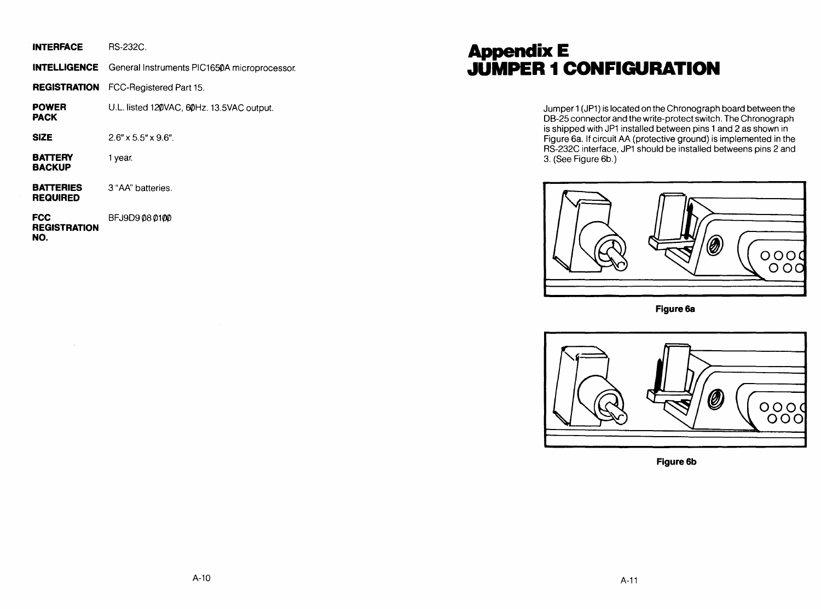| <b>INTERFACE</b> | <b>RS-232C.</b> |
|------------------|-----------------|
|------------------|-----------------|

|  | <b>INTELLIGENCE</b> General Instruments PIC1650A microprocessor. |
|--|------------------------------------------------------------------|
|--|------------------------------------------------------------------|

**REGISTRATION** FCC-Registered Part 15.

**POWER PACK**  U.L. listed 120VAC, 60Hz. 13.5VAC output.

**SIZE**  2.6" x 5.5" x 9.6".

**BATTERY BACKUP**  1 year.

**BATTERIES** 3 "AA" batteries. **REQUIRED** 

**FCC** BFJ9D9  $\emptyset$ 8  $\emptyset$ 1 $\emptyset$  $\emptyset$ **REGISTRATION NO.** 

### **Appendix E JUMPER 1 CONFIGURATION**

Jumper 1 (JP1) is located on the Chronograph board between the OB-25 connector and the write-protect switch. The Chronograph is shipped with JP1 installed between pins 1 and 2 as shown in Figure 6a. If circuit AA (protective ground) is implemented in the RS-232C interface, JP1 should be installed betweens pins 2 and 3. (See Figure 6b.)



**Figure6a** 



**Figure 6b**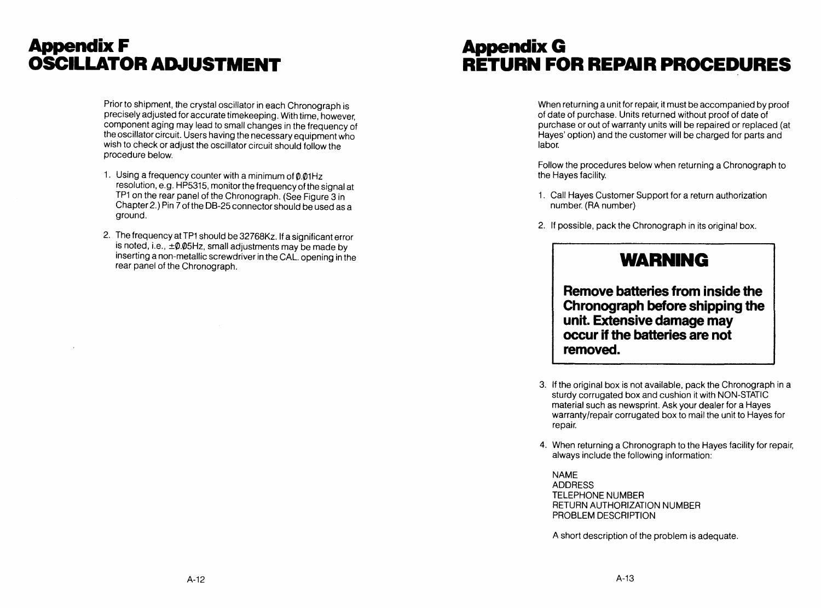### **Appendix F OSCILLATOR ADJUSTMENT**

Prior to shipment, the crystal oscillator in each Chronograph is precisely adjusted for accurate timekeeping. With time, however, component aging may lead to small changes in the frequency of the oscillator circuit. Users having the necessary equipment who wish to check or adjust the oscillator circuit should follow the procedure below.

- 1. Using a frequency counter with a minimum of  $\varphi$ . $\varphi$ 1Hz resolution, e.g. HP5315, monitor the frequency of the signal at TP1 on the rear panel of the Chronograph. (See Figure 3 in Chapter2.) Pin 7 of the DB-25 connector should be used as a ground.
- 2. The frequency at TP1 should be 32768Kz. If a significant error is noted, i.e.,  $\pm \varnothing$ . $\varnothing$ 5Hz, small adjustments may be made by inserting a non-metallic screwdriver in the CAL. opening in the rear panel of the Chronograph.

### **Appendix G RETURN FOR REPAIR PROCEDURES**

When returning a unit for repair, it must be accompanied by proof of date of purchase. Units returned without proof of date of purchase or out of warranty units will be repaired or replaced (at Hayes' option) and the customer will be charged for parts and labor.

Follow the procedures below when returning a Chronograph to the Hayes facility.

- 1. Call Hayes Customer Support for a return authorization number. (RA number)
- 2. If possible, pack the Chronograph in its original box.

### **WARNING**

**Remove batteries from inside the Chronograph before shipping the unit. Extensive damage may occur if the batteries are not removed.** 

- 3. If the original box is not available, pack the Chronograph in a sturdy corrugated box and cushion it with NON-STATIC material such as newsprint. Ask your dealer for a Hayes warranty/repair corrugated box to mail the unit to Hayes for repair.
- 4. When returning a Chronograph to the Hayes facility for repair, always include the following information:

NAME ADDRESS TELEPHONE NUMBER RETURN AUTHORIZATION NUMBER PROBLEM DESCRIPTION

A short description of the problem is adequate.